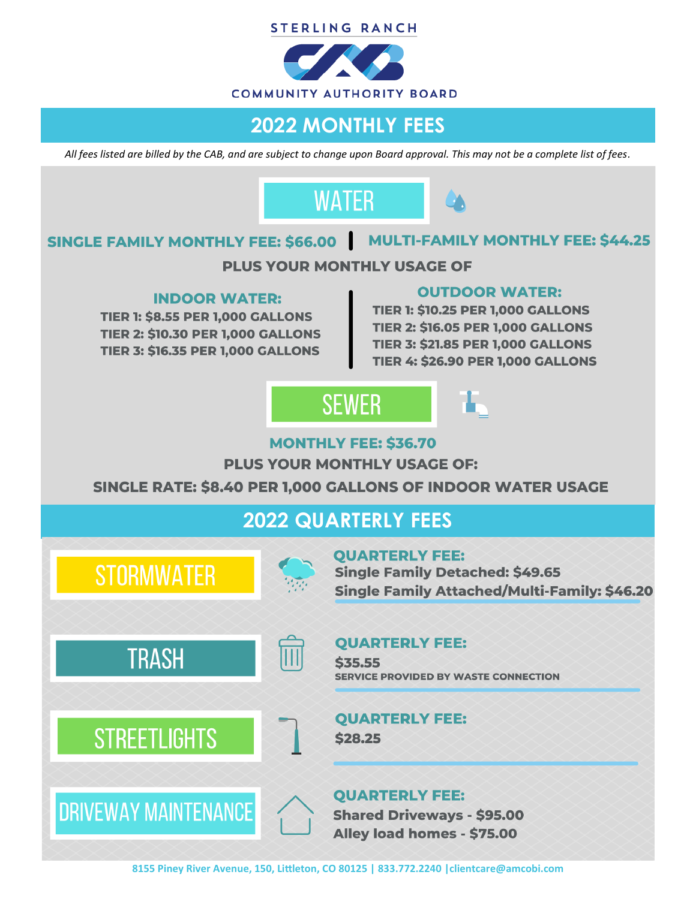



### **2022 MONTHLY FEES**

*All fees listed are billed by the CAB, and are subject to change upon Board approval. This may not be a complete list of fees.*